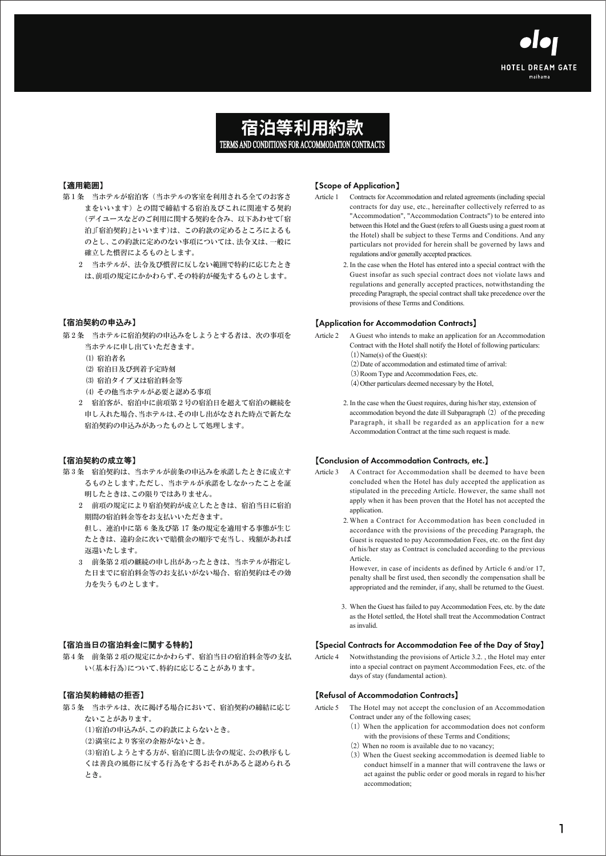

## 【適用範囲】

- 第1条 当ホテルが宿泊客(当ホテルの客室を利用される全てのお客さ まをいいます)との間で締結する宿泊及びこれに関連する契約 (デイユースなどのご利用に関する契約を含み、以下あわせて「宿 泊」「宿泊契約」といいます)は、この約款の定めるところによるも のとし、この約款に定めのない事項については、法令又は、一般に 確立した慣習によるものとします。
	- 当ホテルが、法令及び慣習に反しない範囲で特約に応じたとき 2 は、前項の規定にかかわらず、その特約が優先するものとします。

## 【宿泊契約の申込み】

- 第2条 当ホテルに宿泊契約の申込みをしようとする者は、次の事項を 当ホテルに申し出ていただきます。
	- (1) 宿泊者名
	- (2) 宿泊日及び到着予定時刻
	- (3) 宿泊タイプ又は宿泊料金等
	- (4) その他当ホテルが必要と認める事項
	- 宿泊客が、宿泊中に前項第 2 号の宿泊日を超えて宿泊の継続を 2 申し入れた場合、当ホテルは、その申し出がなされた時点で新たな 宿泊契約の申込みがあったものとして処理します。

## 【宿泊契約の成立等】

- 第3条 宿泊契約は、当ホテルが前条の申込みを承諾したときに成立す るものとします。ただし、当ホテルが承諾をしなかったことを証 明したときは、この限りではありません。
	- 前項の規定により宿泊契約が成立したときは、宿泊当日に宿泊 2 期間の宿泊料金等をお支払いいただきます。
	- 但し、連泊中に第 6 条及び第 17 条の規定を適用する事態が生じ たときは、違約金に次いで賠償金の順序で充当し、残額があれば 返還いたします。
	- 前条第 2 項の継続の申し出があったときは、当ホテルが指定し 3 た日までに宿泊料金等のお支払いがない場合、宿泊契約はその効 力を失うものとします。

## 【宿泊当日の宿泊料金に関する特約】

第4条 前条第2項の規定にかかわらず、宿泊当日の宿泊料金等の支払 い(基本行為)について、特約に応じることがあります。

#### 【宿泊契約締結の拒否】

- 第5条 当ホテルは、次に掲げる場合において、宿泊契約の締結に応じ ないことがあります。
	- (1)宿泊の申込みが、この約款によらないとき。
	- (2)満室により客室の余裕がないとき。
	- (3)宿泊しようとする方が、宿泊に関し法令の規定、公の秩序もし くは善良の風俗に反する行為をするおそれがあると認められる とき。

### 【Scope of Application】

- Contracts for Accommodation and related agreements (including special contracts for day use, etc., hereinafter collectively referred to as "Accommodation", "Accommodation Contracts") to be entered into between this Hotel and the Guest (refers to all Guests using a guest room at the Hotel) shall be subject to these Terms and Conditions. And any particulars not provided for herein shall be governed by laws and regulations and/or generally accepted practices. Article 1
	- 2. In the case when the Hotel has entered into a special contract with the Guest insofar as such special contract does not violate laws and regulations and generally accepted practices, notwithstanding the preceding Paragraph, the special contract shall take precedence over the provisions of these Terms and Conditions.

#### 【Application for Accommodation Contracts】

- A Guest who intends to make an application for an Accommodation Contract with the Hotel shall notify the Hotel of following particulars: (1)Name(s) of the Guest(s): Article 2
	- (2)Date of accommodation and estimated time of arrival:
	- (3)Room Type and Accommodation Fees, etc.
	- (4)Other particulars deemed necessary by the Hotel,
	- 2. In the case when the Guest requires, during his/her stay, extension of accommodation beyond the date ill Subparagraph (2) of the preceding Paragraph, it shall be regarded as an application for a new Accommodation Contract at the time such request is made.

## 【Conclusion of Accommodation Contracts, etc.】

- Article 3 A Contract for Accommodation shall be deemed to have been concluded when the Hotel has duly accepted the application as stipulated in the preceding Article. However, the same shall not apply when it has been proven that the Hotel has not accepted the application.
	- When a Contract for Accommodation has been concluded in 2. accordance with the provisions of the preceding Paragraph, the Guest is requested to pay Accommodation Fees, etc. on the first day of his/her stay as Contract is concluded according to the previous Article.

However, in case of incidents as defined by Article 6 and/or 17, penalty shall be first used, then secondly the compensation shall be appropriated and the reminder, if any, shall be returned to the Guest.

When the Guest has failed to pay Accommodation Fees, etc. by the date 3. as the Hotel settled, the Hotel shall treat the Accommodation Contract as invalid.

#### 【Special Contracts for Accommodation Fee of the Day of Stay】

Notwithstanding the provisions of Article 3.2. , the Hotel may enter into a special contract on payment Accommodation Fees, etc. of the days of stay (fundamental action). Article 4

#### 【Refusal of Accommodation Contracts】

- The Hotel may not accept the conclusion of an Accommodation Contract under any of the following cases; Article 5
	- (1) When the application for accommodation does not conform with the provisions of these Terms and Conditions;
	- (2) When no room is available due to no vacancy;
	- (3) When the Guest seeking accommodation is deemed liable to conduct himself in a manner that will contravene the laws or act against the public order or good morals in regard to his/her accommodation;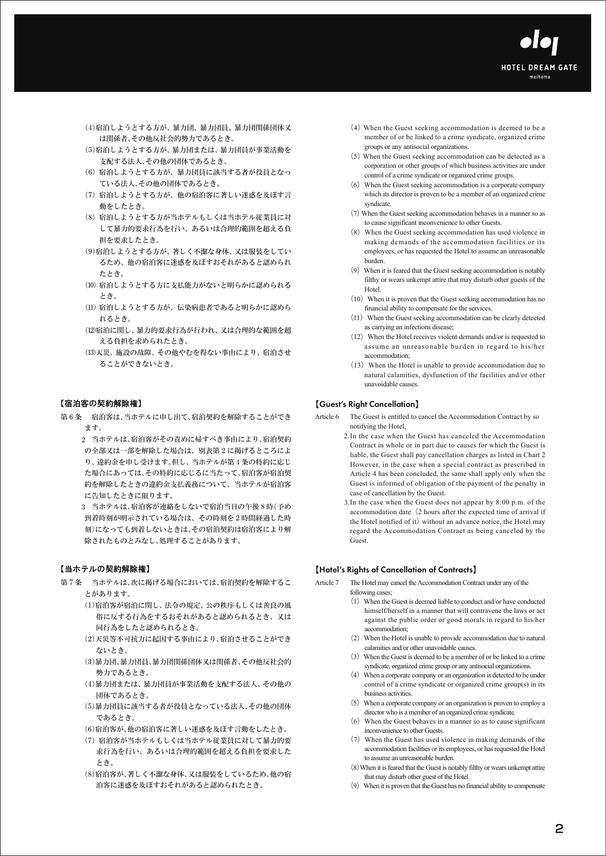- (4)宿泊しようとする方が、暴力団、暴力団員、暴力団関係団体又 は関係者、その他反社会的勢力であるとき。
- (5)宿泊しようとする方が、暴力団または、暴力団員が事業活動を 支配する法人、その他の団体であるとき。
- (6)宿泊しようとする方が、暴力団員に該当する者が役員となっ ている法人、その他の団体であるとき。
- (7)宿泊しようとする方が、他の宿泊客に著しい迷惑を及ぼす言 動をしたとき。
- (8)宿泊しようとする方が当ホテルもしくは当ホテル従業員に対 して暴力的要求行為を行い、あるいは合理的範囲を超える負 担を要求したとき。
- (9)宿泊しようとする方が、著しく不潔な身体、又は服装をしてい るため、他の宿泊客に迷惑を及ぼすおそれがあると認められ たとき。
- (10)宿泊しようとする方に支払能力がないと明らかに認められる とき。
- (11)宿泊しようとする方が、伝染病患者であると明らかに認めら れるとき。
- (12)宿泊に関し、暴力的要求行為が行われ、又は合理的な範囲を超 える負担を求められたとき。
- (13)天災、施設の故障、その他やむを得ない事由により、宿泊させ ることができないとき。

## 【宿泊客の契約解除権】

- 第6条 宿泊客は、当ホテルに申し出て、宿泊契約を解除することができ ます。
	- 当ホテルは、宿泊客がその責めに帰すべき事由により、宿泊契約 2 の全部又は一部を解除した場合は、別表第 2 に掲げるところによ り、違約金を申し受けます。但し、当ホテルが第 4 条の特約に応じ た場合にあっては、その特約に応じるに当たって、宿泊客が宿泊契 約を解除したときの違約金支払義務について、当ホテルが宿泊客 に告知したときに限ります。
	- 当ホテルは、宿泊客が連絡をしないで宿泊当日の午後 8 時(予め 3 到着時刻が明示されている場合は、その時刻を 2 時間経過した時 刻)になっても到着しないときは、その宿泊契約は宿泊客により解 除されたものとみなし、処理することがあります。

- 第7条 当ホテルは、次に掲げる場合においては、宿泊契約を解除するこ とがあります。
	- (1)宿泊客が宿泊に関し、法令の規定、公の秩序もしくは善良の風 俗に反する行為をするおそれがあると認められるとき、又は 同行為をしたと認められるとき。
	- (2)天災等不可抗力に起因する事由により、宿泊させることができ ないとき。
	- (3)暴力団、暴力団員、暴力団関係団体又は関係者、その他反社会的 勢力であるとき。
	- (4)暴力団または、暴力団員が事業活動を支配する法人、その他の 団体であるとき。
	- (5)暴力団員に該当する者が役員となっている法人、その他の団体 であるとき。
	- (6)宿泊客が、他の宿泊客に著しい迷惑を及ぼす言動をしたとき。
	- (7)宿泊客が当ホテルもしくは当ホテル従業員に対して暴力的要 求行為を行い、あるいは合理的範囲を超える負担を要求した とき。
	- (8)宿泊客が、著しく不潔な身体、又は服装をしているため、他の宿 泊客に迷惑を及ぼすおそれがあると認められたとき。
- (4) When the Guest seeking accommodation is deemed to be a member of or be linked to a crime syndicate, organized crime groups or any antisocial organizations.
- (5) When the Guest seeking accommodation can be detected as a corporation or other groups of which business activities are under control of a crime syndicate or organized crime groups.
- $(6)$  When the Guest seeking accommodation is a corporate company which its director is proven to be a member of an organized crime syndicate.
- (7)When the Guest seeking accommodation behaves in a manner so as to cause significant inconvenience to other Guests.
- (8)When the Guest seeking accommodation has used violence in making demands of the accommodation facilities or its employees, or has requested the Hotel to assume an unreasonable burden.
- (9) When it is feared that the Guest seeking accommodation is notably filthy or wears unkempt attire that may disturb other guests of the Hotel.
- $(10)$  When it is proven that the Guest seeking accommodation has no financial ability to compensate for the services.
- (11) When the Guest seeking accommodation can be clearly detected as carrying an infections disease;
- $(12)$  When the Hotel receives violent demands and/or is requested to assume an unreasonable burden in regard to his/her accommodation;
- (13) When the Hotel is unable to provide accommodation due to natural calamities, dysfunction of the facilities and/or other unavoidable causes.

#### 【Guest's Right Cancellation】

- The Guest is entitled to cancel the Accommodation Contract by so notifying the Hotel, Article 6
	- 2. In the case when the Guest has canceled the Accommodation Contract in whole or in part due to causes for which the Guest is liable, the Guest shall pay cancellation charges as listed in Chart 2 However, in the case when a special contract as prescribed in Article 4 has been concluded, the same shall apply only when the Guest is informed of obligation of the payment of the penalty in case of cancellation by the Guest.
	- 3. In the case when the Guest does not appear by 8:00 p.m. of the accommodation date (2 hours after the expected time of arrival if the Hotel notified of it) without an advance notice, the Hotel may regard the Accommodation Contract as being canceled by the Guest.

## 【当ホテルの契約解除権】 【Hotel's Rights of Cancellation of Contracts】

- The Hotel may cancel the Accommodation Contract under any of the following cases; Article 7
	- (1) When the Guest is deemed liable to conduct and/or have conducted himself/herself in a manner that will contravene the laws or act against the public order or good morals in regard to his/her accommodation;
	- (2) When the Hotel is unable to provide accommodation due to natural calamities and/or other unavoidable causes.
	- (3)When the Guest is deemed to be a member of or be linked to a crime syndicate, organized crime group or any antisocial organizations.
	- (4)When a corporate company or an organization is detected to be under control of a crime syndicate or organized crime group(s) in its business activities.
	- (5)When a corporate company or an organization is proven to employ a director who is a member of an organized crime syndicate.
	- (6)When the Guest behaves in a manner so as to cause significant inconvenience to other Guests.
	- $(7)$  When the Guest has used violence in making demands of the accommodation facilities or its employees, or has requested the Hotel to assume an unreasonable burden.
	- (8)When it is feared that the Guest is notably filthy or wears unkempt attire that may disturb other guest of the Hotel.
	- (9)When it is proven that the Guest has no financial ability to compensate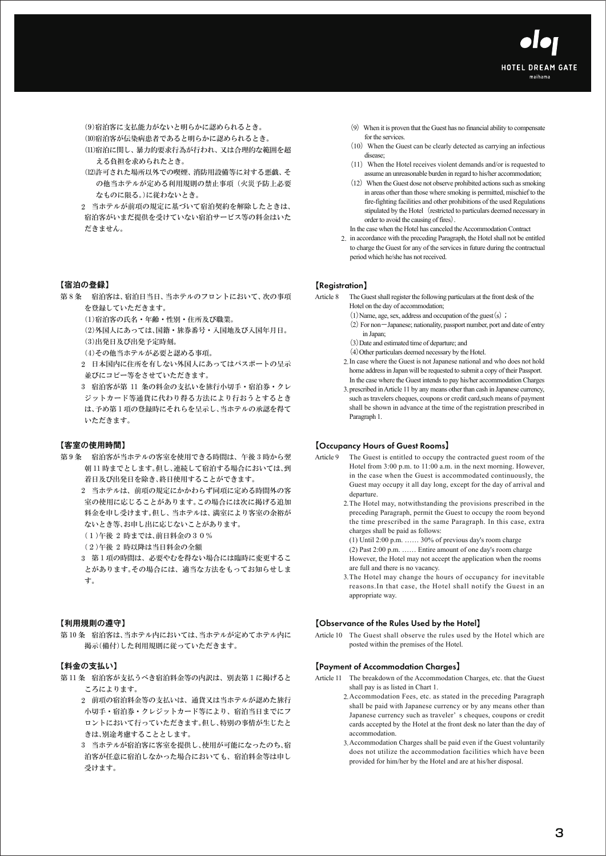

(9)宿泊客に支払能力がないと明らかに認められるとき。 (10)宿泊客が伝染病患者であると明らかに認められるとき。

- (11)宿泊に関し、暴力的要求行為が行われ、又は合理的な範囲を超 える負担を求められたとき。
- (12)許可された場所以外での喫煙、消防用設備等に対する悪戯、そ の他当ホテルが定める利用規則の禁止事項(火災予防上必要 なものに限る。)に従わないとき。
- 2 当ホテルが前項の規定に基づいて宿泊契約を解除したときは、 宿泊客がいまだ提供を受けていない宿泊サービス等の料金はいた だきません。

## 【宿泊の登録】 【Registration】

- 第8条 宿泊客は、宿泊日当日、当ホテルのフロントにおいて、次の事項 を登録していただきます。
	- (1)宿泊客の氏名・年齢・性別・住所及び職業。
	- (2)外国人にあっては、国籍・旅券番号・入国地及び入国年月日。
	- (3)出発日及び出発予定時刻。
	- (4)その他当ホテルが必要と認める事項。
	- 2 日本国内に住所を有しない外国人にあってはパスポートの呈示 並びにコピー等をさせていただきます。
	- 3 宿泊客が第 11 条の料金の支払いを旅行小切手・宿泊券・クレ ジットカード等通貨に代わり得る方法により行おうとするとき は、予め第 1 項の登録時にそれらを呈示し、当ホテルの承認を得て いただきます。

- 宿泊客が当ホテルの客室を使用できる時間は、午後 3 時から翌 朝 11 時までとします。但し、連続して宿泊する場合においては、到 着日及び出発日を除き、終日使用することができます。 第9条
	- 2 当ホテルは、前項の規定にかかわらず同項に定める時間外の客 室の使用に応じることがあります。この場合には次に掲げる追加 料金を申し受けます。但し、当ホテルは、満室により客室の余裕が ないとき等、お申し出に応じないことがあります。
	- (1)午後 2 時までは、前日料金の30%
	- (2)午後 2 時以降は当日料金の全額
	- 3 第 1 項の時間は、必要やむを得ない場合には臨時に変更するこ とがあります。その場合には、適当な方法をもってお知らせしま す。

### 【利用規則の遵守】

第10条 宿泊客は、当ホテル内においては、当ホテルが定めてホテル内に Article 10 掲示(備付)した利用規則に従っていただきます。

### 【料金の支払い】

- 第11条 宿泊客が支払うべき宿泊料金等の内訳は、別表第1に掲げると ころによります。
	- 2 前項の宿泊料金等の支払いは、通貨又は当ホテルが認めた旅行 小切手・宿泊券・クレジットカード等により、宿泊当日までにフ ロントにおいて行っていただきます。但し、特別の事情が生じたと きは、別途考慮することとします。
	- 3 当ホテルが宿泊客に客室を提供し、使用が可能になったのち、宿 泊客が任意に宿泊しなかった場合においても、宿泊料金等は申し 受けます。
- (9) When it is proven that the Guest has no financial ability to compensate for the services.
- (10) When the Guest can be clearly detected as carrying an infectious disease;
- (11) When the Hotel receives violent demands and/or is requested to assume an unreasonable burden in regard to his/her accommodation;
- $(12)$  When the Guest dose not observe prohibited actions such as smoking in areas other than those where smoking is permitted, mischief to the fire-fighting facilities and other prohibitions of the used Regulations stipulated by the Hotel (restricted to particulars deemed necessary in order to avoid the causing of fires).
- In the case when the Hotel has canceled the Accommodation Contract
- 2. in accordance with the preceding Paragraph, the Hotel shall not be entitled to charge the Guest for any of the services in future during the contractual period which he/she has not received.

- The Guest shall register the following particulars at the front desk of the Hotel on the day of accommodation; Article 8
	- $(1)$ Name, age, sex, address and occupation of the guest (s);
	- (2) For non-Japanese; nationality, passport number, port and date of entry in Japan;
	- (3)Date and estimated time of departure; and
	- (4)Other particulars deemed necessary by the Hotel.
	- 2. In case where the Guest is not Japanese national and who does not hold home address in Japan will be requested to submit a copy of their Passport. In the case where the Guest intends to pay his/her accommodation Charges
	- 3. prescribed in Article 11 by any means other than cash in Japanese currency, such as travelers cheques, coupons or credit card,such means of payment shall be shown in advance at the time of the registration prescribed in Paragraph 1.

## 【客室の使用時間】 【Occupancy Hours of Guest Rooms】

- The Guest is entitled to occupy the contracted guest room of the Hotel from 3:00 p.m. to 11:00 a.m. in the next morning. However, in the case when the Guest is accommodated continuously, the Guest may occupy it all day long, except for the day of arrival and departure. Article 9
	- 2. The Hotel may, notwithstanding the provisions prescribed in the preceding Paragraph, permit the Guest to occupy the room beyond the time prescribed in the same Paragraph. In this case, extra charges shall be paid as follows:

(1) Until 2:00 p.m. …… 30% of previous day's room charge (2) Past 2:00 p.m. …… Entire amount of one day's room charge However, the Hotel may not accept the application when the rooms are full and there is no vacancy.

3. The Hotel may change the hours of occupancy for inevitable reasons.In that case, the Hotel shall notify the Guest in an appropriate way.

#### 【Observance of the Rules Used by the Hotel】

Article 10 The Guest shall observe the rules used by the Hotel which are posted within the premises of the Hotel.

#### 【Payment of Accommodation Charges】

- Article 11 The breakdown of the Accommodation Charges, etc. that the Guest shall pay is as listed in Chart 1.
	- 2. Accommodation Fees, etc. as stated in the preceding Paragraph shall be paid with Japanese currency or by any means other than Japanese currency such as traveler' s cheques, coupons or credit cards accepted by the Hotel at the front desk no later than the day of accommodation.
	- 3. Accommodation Charges shall be paid even if the Guest voluntarily does not utilize the accommodation facilities which have been provided for him/her by the Hotel and are at his/her disposal.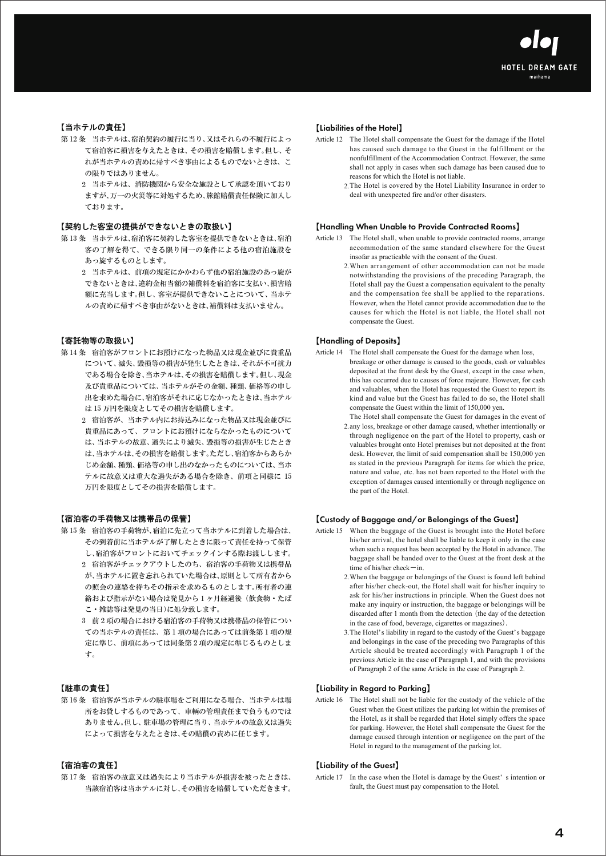# 【当ホテルの責任】

- 第12条 当ホテルは、宿泊契約の履行に当り、又はそれらの不履行によっ て宿泊客に損害を与えたときは、その損害を賠償します。但し、そ れが当ホテルの責めに帰すべき事由によるものでないときは、こ の限りではありません。
	- 2 当ホテルは、消防機関から安全な施設として承認を頂いており 2. ますが、万一の火災等に対処するため、旅館賠償責任保険に加入し ております。

## 【契約した客室の提供ができないときの取扱い】

- 第 13 条 当ホテルは、宿泊客に契約した客室を提供できないときは、宿泊 客の了解を得て、できる限り同一の条件による他の宿泊施設を あっ旋するものとします。
	- 2 当ホテルは、前項の規定にかかわらず他の宿泊施設のあっ旋が できないときは、違約金相当額の補償料を宿泊客に支払い、損害賠 額に充当します。但し、客室が提供できないことについて、当ホテ ルの責めに帰すべき事由がないときは、補償料は支払いません。

# 【寄託物等の取扱い】

- 第14条 宿泊客がフロントにお預けになった物品又は現金並びに貴重品 について、滅失、毀損等の損害が発生したときは、それが不可抗力 である場合を除き、当ホテルは、その損害を賠償します。但し、現金 及び貴重品については、当ホテルがその金額、種類、価格等の申し 出を求めた場合に、宿泊客がそれに応じなかったときは、当ホテル は 15 万円を限度としてその損害を賠償します。
	- 2 宿泊客が、当ホテル内にお持込みになった物品又は現金並びに 貴重品にあって、フロントにお預けにならなかったものについて は、当ホテルの故意、過失により滅失、毀損等の損害が生じたとき は、当ホテルは、その損害を賠償します。ただし、宿泊客からあらか じめ金額、種類、価格等の申し出のなかったものについては、当ホ テルに故意又は重大な過失がある場合を除き、前項と同様に 15 万円を限度としてその損害を賠償します。

# 【宿泊客の手荷物又は携帯品の保管】

- 第15条 宿泊客の手荷物が、宿泊に先立って当ホテルに到着した場合は、 その到着前に当ホテルが了解したときに限って責任を持って保管 し、宿泊客がフロントにおいてチェックインする際お渡しします。
	- 2 宿泊客がチェックアウトしたのち、宿泊客の手荷物又は携帯品 が、当ホテルに置き忘れられていた場合は、原則として所有者から の照会の連絡を待ちその指示を求めるものとします。所有者の連 絡および指示がない場合は発見から 1 ヶ月経過後(飲食物・たば こ・雑誌等は発見の当日)に処分致します。
	- 3 前 2 項の場合における宿泊客の手荷物又は携帯品の保管につい ての当ホテルの責任は、第 1 項の場合にあっては前条第 1 項の規 定に準じ、前項にあっては同条第 2 項の規定に準じるものとしま す。

# 【駐車の責任】

第16条 宿泊客が当ホテルの駐車場をご利用になる場合、当ホテルは場 所をお貸しするものであって、車輌の管理責任まで負うものでは ありません。但し、駐車場の管理に当り、当ホテルの故意又は過失 によって損害を与えたときは、その賠償の責めに任じます。

# 【宿泊客の責任】

第17条 宿泊客の故意又は過失により当ホテルが損害を被ったときは、 当該宿泊客は当ホテルに対し、その損害を賠償していただきます。

## 【Liabilities of the Hotel】

- Article 12 The Hotel shall compensate the Guest for the damage if the Hotel has caused such damage to the Guest in the fulfillment or the nonfulfillment of the Accommodation Contract. However, the same shall not apply in cases when such damage has been caused due to reasons for which the Hotel is not liable.
	- 2. The Hotel is covered by the Hotel Liability Insurance in order to deal with unexpected fire and/or other disasters.

## 【Handling When Unable to Provide Contracted Rooms】

- Article 13 The Hotel shall, when unable to provide contracted rooms, arrange accommodation of the same standard elsewhere for the Guest insofar as practicable with the consent of the Guest.
	- 2. When arrangement of other accommodation can not be made notwithstanding the provisions of the preceding Paragraph, the Hotel shall pay the Guest a compensation equivalent to the penalty and the compensation fee shall be applied to the reparations. However, when the Hotel cannot provide accommodation due to the causes for which the Hotel is not liable, the Hotel shall not compensate the Guest.

## 【Handling of Deposits】

- Article 14 The Hotel shall compensate the Guest for the damage when loss, breakage or other damage is caused to the goods, cash or valuables deposited at the front desk by the Guest, except in the case when, this has occurred due to causes of force majeure. However, for cash and valuables, when the Hotel has requested the Guest to report its kind and value but the Guest has failed to do so, the Hotel shall compensate the Guest within the limit of 150,000 yen.
	- 2. any loss, breakage or other damage caused, whether intentionally or The Hotel shall compensate the Guest for damages in the event of through negligence on the part of the Hotel to property, cash or valuables brought onto Hotel premises but not deposited at the front desk. However, the limit of said compensation shall be 150,000 yen as stated in the previous Paragraph for items for which the price, nature and value, etc. has not been reported to the Hotel with the exception of damages caused intentionally or through negligence on the part of the Hotel.

# 【Custody of Baggage and/or Belongings of the Guest】

- Article 15 When the baggage of the Guest is brought into the Hotel before his/her arrival, the hotel shall be liable to keep it only in the case when such a request has been accepted by the Hotel in advance. The baggage shall be handed over to the Guest at the front desk at the time of his/her check $-\text{in}$ .
	- 2. When the baggage or belongings of the Guest is found left behind after his/her check-out, the Hotel shall wait for his/her inquiry to ask for his/her instructions in principle. When the Guest does not make any inquiry or instruction, the baggage or belongings will be discarded after 1 month from the detection (the day of the detection in the case of food, beverage, cigarettes or magazines).
	- 3. The Hotel's liability in regard to the custody of the Guest's baggage and belongings in the case of the preceding two Paragraphs of this Article should be treated accordingly with Paragraph 1 of the previous Article in the case of Paragraph 1, and with the provisions of Paragraph 2 of the same Article in the case of Paragraph 2.

# 【Liability in Regard to Parking】

Article 16 The Hotel shall not be liable for the custody of the vehicle of the Guest when the Guest utilizes the parking lot within the premises of the Hotel, as it shall be regarded that Hotel simply offers the space for parking. However, the Hotel shall compensate the Guest for the damage caused through intention or negligence on the part of the Hotel in regard to the management of the parking lot.

# 【Liability of the Guest】

Article 17 In the case when the Hotel is damage by the Guest's intention or fault, the Guest must pay compensation to the Hotel.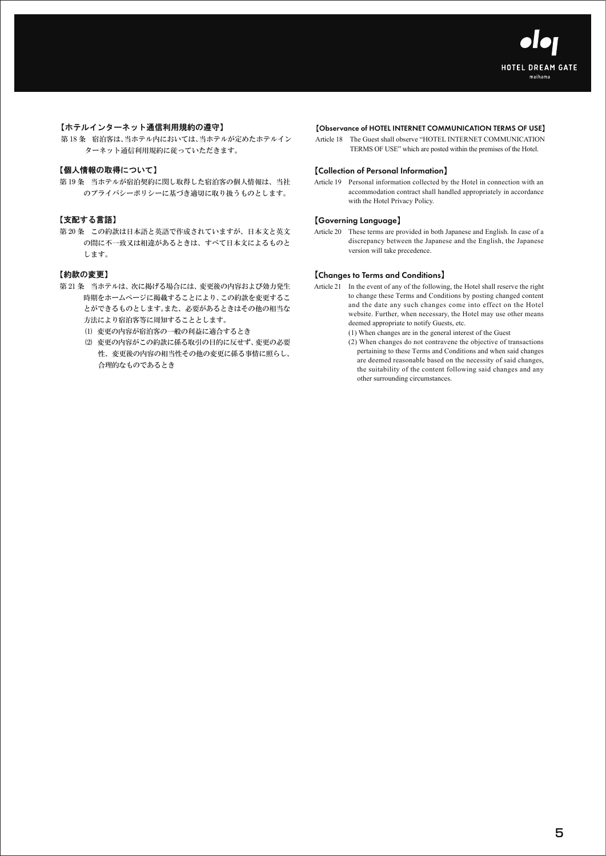# 【ホテルインターネット通信利用規約の遵守】

第18条 宿泊客は、当ホテル内においては、当ホテルが定めたホテルイン ターネット通信利用規約に従っていただきます。

# 【個人情報の取得について】

第19条 当ホテルが宿泊契約に関し取得した宿泊客の個人情報は、当社 のプライバシーポリシーに基づき適切に取り扱うものとします。

# 【支配する言語】

第 20 条 この約款は日本語と英語で作成されていますが、日本文と英文 の間に不一致又は相違があるときは、すべて日本文によるものと します。

# 【約款の変更】

第 21 条 当ホテルは、次に掲げる場合には、変更後の内容および効力発生 時期をホームページに掲載することにより、この約款を変更するこ とができるものとします。また、必要があるときはその他の相当な 方法により宿泊客等に周知することとします。

(1) 変更の内容が宿泊客の一般の利益に適合するとき

(2) 変更の内容がこの約款に係る取引の目的に反せず、変更の必要 性、変更後の内容の相当性その他の変更に係る事情に照らし、 合理的なものであるとき

# 【Observance of HOTEL INTERNET COMMUNICATION TERMS OF USE】

Article 18 The Guest shall observe "HOTEL INTERNET COMMUNICATION TERMS OF USE" which are posted within the premises of the Hotel.

# 【Collection of Personal Information】

Article 19 Personal information collected by the Hotel in connection with an accommodation contract shall handled appropriately in accordance with the Hotel Privacy Policy.

# 【Governing Language】

Article 20 These terms are provided in both Japanese and English. In case of a discrepancy between the Japanese and the English, the Japanese version will take precedence.

# 【Changes to Terms and Conditions】

- Article 21 In the event of any of the following, the Hotel shall reserve the right to change these Terms and Conditions by posting changed content and the date any such changes come into effect on the Hotel website. Further, when necessary, the Hotel may use other means deemed appropriate to notify Guests, etc.
	- (1) When changes are in the general interest of the Guest
	- (2) When changes do not contravene the objective of transactions pertaining to these Terms and Conditions and when said changes are deemed reasonable based on the necessity of said changes, the suitability of the content following said changes and any other surrounding circumstances.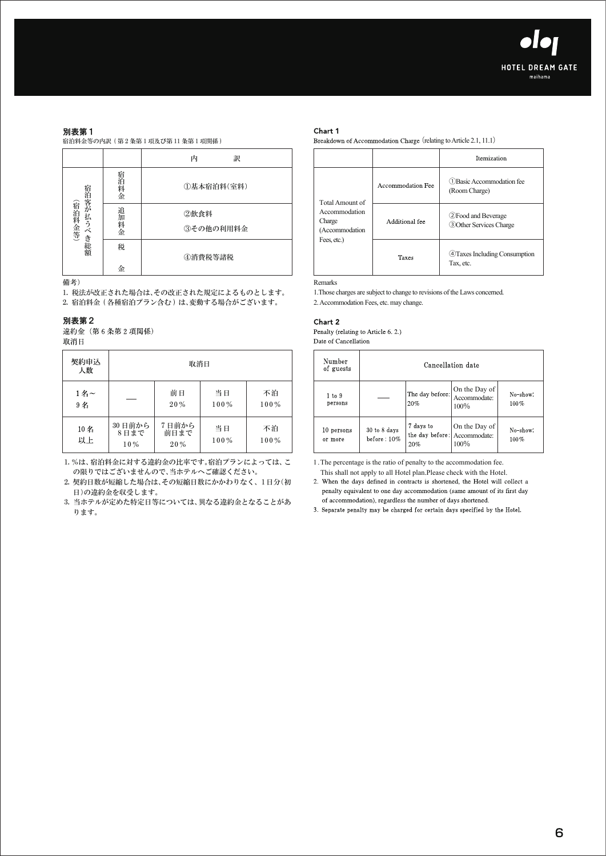#### 別表第1

宿泊料金等の内訳 ( 第 2 条第 1 項及び第 11 条第 1 項関係 )

|                                    |      | 内<br>訳     |  |  |  |  |  |
|------------------------------------|------|------------|--|--|--|--|--|
| 宿泊客が払うべき総額<br>(宿泊料金等)              | 宿泊料金 | ①基本宿泊料(室料) |  |  |  |  |  |
|                                    | 追加   | ②飲食料       |  |  |  |  |  |
|                                    | 料金   | ③その他の利用料金  |  |  |  |  |  |
|                                    | 税    | ④消費税等諸税    |  |  |  |  |  |
|                                    | 金    |            |  |  |  |  |  |
| 備考)                                |      |            |  |  |  |  |  |
| 1. 税法が改正された場合は、その改正された規定によるものとします。 |      |            |  |  |  |  |  |
| 2. 宿泊料金(各種宿泊プラン含む)は、変動する場合がございます。  |      |            |  |  |  |  |  |
| 別表第2                               |      |            |  |  |  |  |  |

### 備考)

違約金 (第6条第2項関係) 取消日

| 契約申込<br>人数 | 取消日                   |                      |            |            |  |  |
|------------|-----------------------|----------------------|------------|------------|--|--|
| 1名~<br>9名  |                       | 前日<br>20%            | 当日<br>100% | 不泊<br>100% |  |  |
| 10名<br>以上  | 30日前から<br>8日まで<br>10% | 7日前から<br>前日まで<br>20% | 当日<br>100% | 不泊<br>100% |  |  |

1.%は、宿泊料金に対する違約金の比率です。宿泊プランによっては、こ の限りではございませんので、当ホテルへご確認ください。

2. 契約日数が短縮した場合は、その短縮日数にかかわりなく、 1 日分(初 日)の違約金を収受します。

3. 当ホテルが定めた特定日等については、異なる違約金となることがあ ります。

#### Chart 1

Breakdown of Accommodation Charge (relating to Article 2.1, 11.1)

|                                                                             |                   | Itemization                                         |
|-----------------------------------------------------------------------------|-------------------|-----------------------------------------------------|
| Total Amount of<br>Accommodation<br>Charge<br>(Accommodation<br>Fees, etc.) | Accommodation Fee | (1) Basic Accommodation fee<br>(Room Charge)        |
|                                                                             | Additional fee    | 2 Food and Beverage<br>3) Other Services Charge     |
|                                                                             | <b>Taxes</b>      | <b>4</b> ) Taxes Including Consumption<br>Tax, etc. |

### Remarks

1.Those charges are subject to change to revisions of the Laws concerned. 2. Accommodation Fees, etc. may change.

### Chart 2

Penalty (relating to Article 6, 2.) Date of Cancellation

| Number<br>of guests   | Cancellation date           |                                     |                                       |                     |  |  |
|-----------------------|-----------------------------|-------------------------------------|---------------------------------------|---------------------|--|--|
| 1 to 9<br>persons     |                             | The day before:<br>20%              | On the Day of<br>Accommodate:<br>100% | No-show:<br>$100\%$ |  |  |
| 10 persons<br>or more | 30 to 8 days<br>before: 10% | 7 days to<br>the day before:<br>20% | On the Day of<br>Accommodate:<br>100% | No-show:<br>100%    |  |  |

1.The percentage is the ratio of penalty to the accommodation fee.

This shall not apply to all Hotel plan.Please check with the Hotel.

2. When the days defined in contracts is shortened, the Hotel will collect a penalty equivalent to one day accommodation (same amount of its first day of accommodation), regardless the number of days shortened.

3. Separate penalty may be charged for certain days specified by the Hotel.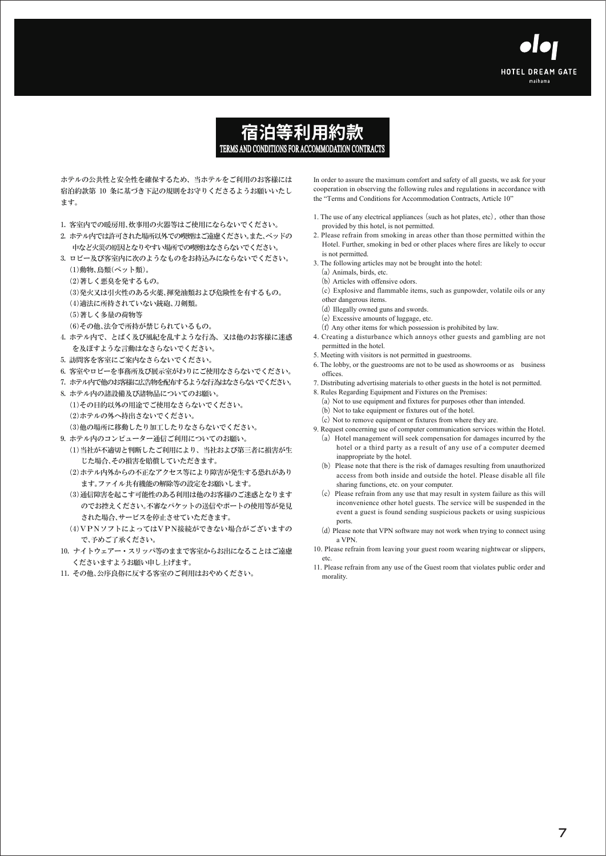



ホテルの公共性と安全性を確保するため、当ホテルをご利用のお客様には 宿泊約款第 10 条に基づき下記の規則をお守りくださるようお願いいたし ます。

- 1. 客室内での暖房用、炊事用の火器等はご使用にならないでください。
- 2. ホテル内では許可された場所以外での喫煙はご遠慮ください。また、ベッドの 中など火災の原因となりやすい場所での喫煙はなさらないでください。
- 3. ロビー及び客室内に次のようなものをお持込みにならないでください。 (1)動物、鳥類(ペット類)。
	- (2)著しく悪臭を発するもの。
	- (3)発火又は引火性のある火薬、揮発油類および危険性を有するもの。
	- (4)適法に所持されていない銃砲、刀剣類。
	- (5)著しく多量の荷物等
	- (6)その他、法令で所持が禁じられているもの。
- 4. ホテル内で、とばく及び風紀を乱すような行為、又は他のお客様に迷惑 を及ぼすような言動はなさらないでください。
- 5. 訪問客を客室にご案内なさらないでください。
- 6. 客室やロビーを事務所及び展示室がわりにご使用なさらないでください。
- 7. ホテル内で他のお客様に広告物を配布するような行為はなさらないでください。
- 8. ホテル内の諸設備及び諸物品についてのお願い。 (1)その目的以外の用途でご使用なさらないでください。 (2)ホテルの外へ持出さないでください。 (3)他の場所に移動したり加工したりなさらないでください。
- 9. ホテル内のコンピューター通信ご利用についてのお願い。
	- (1)当社が不適切と判断したご利用により、当社および第三者に損害が生 じた場合、その損害を賠償していただきます。
	- (2)ホテル内外からの不正なアクセス等により障害が発生する恐れがあり ます。ファイル共有機能の解除等の設定をお願いします。
	- (3)通信障害を起こす可能性のある利用は他のお客様のご迷惑となります のでお控えください。不審なパケットの送信やポートの使用等が発見 された場合、サービスを停止させていただきます。
	- (4)VPNソフトによってはVPN接続ができない場合がございますの で、予めご了承ください。
- 10. ナイトウェアー・スリッパ等のままで客室からお出になることはご遠慮 くださいますようお願い申し上げます。
- 11. その他、公序良俗に反する客室のご利用はおやめください。

In order to assure the maximum comfort and safety of all guests, we ask for your cooperation in observing the following rules and regulations in accordance with the "Terms and Conditions for Accommodation Contracts, Article 10"

- 1. The use of any electrical appliances (such as hot plates, etc), other than those provided by this hotel, is not permitted.
- 2. Please refrain from smoking in areas other than those permitted within the Hotel. Further, smoking in bed or other places where fires are likely to occur is not permitted.
- 3. The following articles may not be brought into the hotel:
	- (a) Animals, birds, etc.
	- (b) Articles with offensive odors.
	- (c) Explosive and flammable items, such as gunpowder, volatile oils or any other dangerous items.
	- (d) Illegally owned guns and swords.
	- (e) Excessive amounts of luggage, etc.
	- (f) Any other items for which possession is prohibited by law.
- 4. Creating a disturbance which annoys other guests and gambling are not permitted in the hotel.
- 5. Meeting with visitors is not permitted in guestrooms.
- 6. The lobby, or the guestrooms are not to be used as showrooms or as business offices.
- 7. Distributing advertising materials to other guests in the hotel is not permitted.
- 8. Rules Regarding Equipment and Fixtures on the Premises: (a) Not to use equipment and fixtures for purposes other than intended.
	- (b) Not to take equipment or fixtures out of the hotel.
	- (c) Not to remove equipment or fixtures from where they are.
- 9. Request concerning use of computer communication services within the Hotel. (a) Hotel management will seek compensation for damages incurred by the hotel or a third party as a result of any use of a computer deemed inappropriate by the hotel.
	- (b) Please note that there is the risk of damages resulting from unauthorized access from both inside and outside the hotel. Please disable all file sharing functions, etc. on your computer.
	- (c) Please refrain from any use that may result in system failure as this will inconvenience other hotel guests. The service will be suspended in the event a guest is found sending suspicious packets or using suspicious ports.
	- (d)Please note that VPN software may not work when trying to connect using a VPN.
- 10. Please refrain from leaving your guest room wearing nightwear or slippers, etc.
- 11. Please refrain from any use of the Guest room that violates public order and morality.